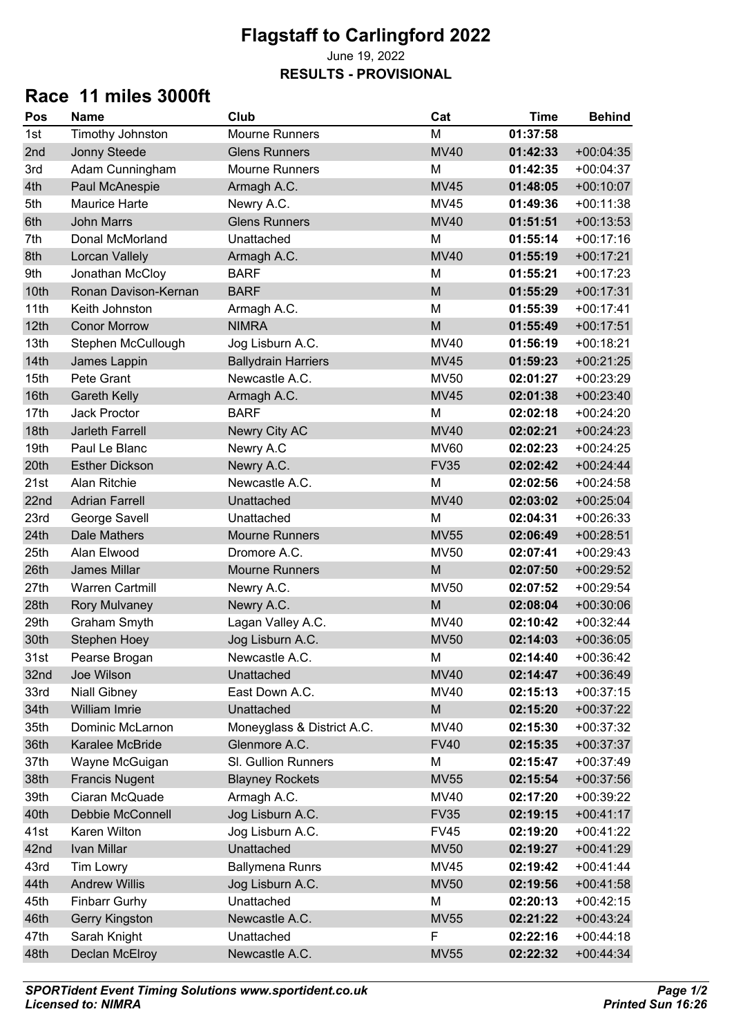## **Flagstaff to Carlingford 2022**

### June 19, 2022 **RESULTS - PROVISIONAL**

## **Race 11 miles 3000ft**

| Pos  | <b>Name</b>            | Club                       | Cat                                                                                                        | <b>Time</b> | <b>Behind</b> |
|------|------------------------|----------------------------|------------------------------------------------------------------------------------------------------------|-------------|---------------|
| 1st  | Timothy Johnston       | <b>Mourne Runners</b>      | M                                                                                                          | 01:37:58    |               |
| 2nd  | Jonny Steede           | <b>Glens Runners</b>       | <b>MV40</b>                                                                                                | 01:42:33    | $+00:04:35$   |
| 3rd  | Adam Cunningham        | <b>Mourne Runners</b>      | M                                                                                                          | 01:42:35    | $+00:04:37$   |
| 4th  | Paul McAnespie         | Armagh A.C.                | <b>MV45</b>                                                                                                | 01:48:05    | $+00:10:07$   |
| 5th  | <b>Maurice Harte</b>   | Newry A.C.                 | <b>MV45</b>                                                                                                | 01:49:36    | $+00:11:38$   |
| 6th  | <b>John Marrs</b>      | <b>Glens Runners</b>       | <b>MV40</b>                                                                                                | 01:51:51    | $+00:13:53$   |
| 7th  | Donal McMorland        | Unattached                 | M                                                                                                          | 01:55:14    | $+00:17:16$   |
| 8th  | Lorcan Vallely         | Armagh A.C.                | <b>MV40</b>                                                                                                | 01:55:19    | $+00:17:21$   |
| 9th  | Jonathan McCloy        | <b>BARF</b>                | M                                                                                                          | 01:55:21    | $+00:17:23$   |
| 10th | Ronan Davison-Kernan   | <b>BARF</b>                | M                                                                                                          | 01:55:29    | $+00:17:31$   |
| 11th | Keith Johnston         | Armagh A.C.                | M                                                                                                          | 01:55:39    | $+00:17:41$   |
| 12th | <b>Conor Morrow</b>    | <b>NIMRA</b>               | M                                                                                                          | 01:55:49    | $+00:17:51$   |
| 13th | Stephen McCullough     | Jog Lisburn A.C.           | <b>MV40</b>                                                                                                | 01:56:19    | $+00:18:21$   |
| 14th | James Lappin           | <b>Ballydrain Harriers</b> | <b>MV45</b>                                                                                                | 01:59:23    | $+00:21:25$   |
| 15th | Pete Grant             | Newcastle A.C.             | <b>MV50</b>                                                                                                | 02:01:27    | $+00:23:29$   |
| 16th | <b>Gareth Kelly</b>    | Armagh A.C.                | <b>MV45</b>                                                                                                | 02:01:38    | $+00:23:40$   |
| 17th | <b>Jack Proctor</b>    | <b>BARF</b>                | M                                                                                                          | 02:02:18    | $+00:24:20$   |
| 18th | <b>Jarleth Farrell</b> | Newry City AC              | <b>MV40</b>                                                                                                | 02:02:21    | $+00:24:23$   |
| 19th | Paul Le Blanc          | Newry A.C                  | <b>MV60</b>                                                                                                | 02:02:23    | $+00:24:25$   |
| 20th | <b>Esther Dickson</b>  | Newry A.C.                 | <b>FV35</b>                                                                                                | 02:02:42    | $+00:24:44$   |
| 21st | Alan Ritchie           | Newcastle A.C.             | M                                                                                                          | 02:02:56    | $+00:24:58$   |
| 22nd | <b>Adrian Farrell</b>  | Unattached                 | <b>MV40</b>                                                                                                | 02:03:02    | $+00:25:04$   |
| 23rd | George Savell          | Unattached                 | M                                                                                                          | 02:04:31    | $+00:26:33$   |
| 24th | <b>Dale Mathers</b>    | <b>Mourne Runners</b>      | <b>MV55</b>                                                                                                | 02:06:49    | $+00:28:51$   |
| 25th | Alan Elwood            | Dromore A.C.               | <b>MV50</b>                                                                                                | 02:07:41    | $+00:29:43$   |
| 26th | <b>James Millar</b>    | <b>Mourne Runners</b>      | M                                                                                                          | 02:07:50    | $+00:29:52$   |
| 27th | <b>Warren Cartmill</b> | Newry A.C.                 | <b>MV50</b>                                                                                                | 02:07:52    | $+00:29:54$   |
| 28th | <b>Rory Mulvaney</b>   | Newry A.C.                 | M                                                                                                          | 02:08:04    | $+00:30:06$   |
| 29th | Graham Smyth           | Lagan Valley A.C.          | <b>MV40</b>                                                                                                | 02:10:42    | $+00:32:44$   |
| 30th | <b>Stephen Hoey</b>    | Jog Lisburn A.C.           | <b>MV50</b>                                                                                                | 02:14:03    | $+00:36:05$   |
| 31st | Pearse Brogan          | Newcastle A.C.             | M                                                                                                          | 02:14:40    | $+00:36:42$   |
| 32nd | Joe Wilson             | Unattached                 | <b>MV40</b>                                                                                                | 02:14:47    | $+00:36:49$   |
| 33rd | <b>Niall Gibney</b>    | East Down A.C.             | <b>MV40</b>                                                                                                | 02:15:13    | $+00:37:15$   |
| 34th | William Imrie          | Unattached                 | $\mathsf{M}% _{T}=\mathsf{M}_{T}\!\left( a,b\right) ,\ \mathsf{M}_{T}=\mathsf{M}_{T}\!\left( a,b\right) ,$ | 02:15:20    | $+00:37:22$   |
| 35th | Dominic McLarnon       | Moneyglass & District A.C. | MV40                                                                                                       | 02:15:30    | $+00:37:32$   |
| 36th | Karalee McBride        | Glenmore A.C.              | <b>FV40</b>                                                                                                | 02:15:35    | $+00:37:37$   |
| 37th | Wayne McGuigan         | SI. Gullion Runners        | M                                                                                                          | 02:15:47    | $+00:37:49$   |
| 38th | <b>Francis Nugent</b>  | <b>Blayney Rockets</b>     | <b>MV55</b>                                                                                                | 02:15:54    | $+00:37:56$   |
| 39th | Ciaran McQuade         | Armagh A.C.                | MV40                                                                                                       | 02:17:20    | +00:39:22     |
| 40th | Debbie McConnell       | Jog Lisburn A.C.           | <b>FV35</b>                                                                                                | 02:19:15    | $+00:41:17$   |
| 41st | Karen Wilton           | Jog Lisburn A.C.           | <b>FV45</b>                                                                                                | 02:19:20    | $+00:41:22$   |
| 42nd | Ivan Millar            | Unattached                 | <b>MV50</b>                                                                                                | 02:19:27    | $+00:41:29$   |
| 43rd | <b>Tim Lowry</b>       | <b>Ballymena Runrs</b>     | <b>MV45</b>                                                                                                | 02:19:42    | $+00:41:44$   |
| 44th | <b>Andrew Willis</b>   | Jog Lisburn A.C.           | <b>MV50</b>                                                                                                | 02:19:56    | $+00:41:58$   |
| 45th | <b>Finbarr Gurhy</b>   | Unattached                 | M                                                                                                          | 02:20:13    | $+00:42:15$   |
| 46th | <b>Gerry Kingston</b>  | Newcastle A.C.             | <b>MV55</b>                                                                                                | 02:21:22    | $+00:43:24$   |
| 47th | Sarah Knight           | Unattached                 | F                                                                                                          | 02:22:16    | $+00:44:18$   |
| 48th | Declan McElroy         | Newcastle A.C.             | <b>MV55</b>                                                                                                | 02:22:32    | $+00:44:34$   |